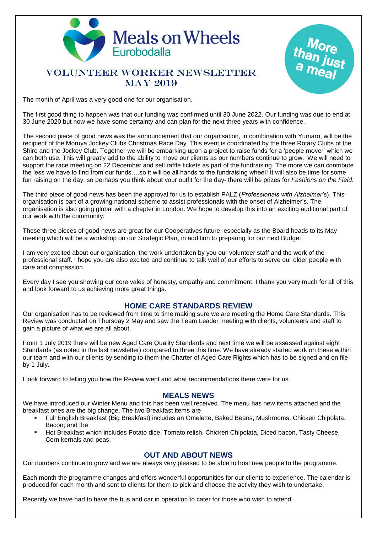

# VOLUNTEER WORKER NEWSLETTER MAY 2019

The month of April was a very good one for our organisation.

The first good thing to happen was that our funding was confirmed until 30 June 2022. Our funding was due to end at 30 June 2020 but now we have some certainty and can plan for the next three years with confidence.

The second piece of good news was the announcement that our organisation, in combination with Yumaro, will be the recipient of the Moruya Jockey Clubs Christmas Race Day. This event is coordinated by the three Rotary Clubs of the Shire and the Jockey Club. Together we will be embarking upon a project to raise funds for a 'people mover' which we can both use. This will greatly add to the ability to move our clients as our numbers continue to grow. We will need to support the race meeting on 22 December and sell raffle tickets as part of the fundraising. The more we can contribute the less we have to find from our funds….so it will be all hands to the fundraising wheel! It will also be time for some fun raising on the day, so perhaps you think about your outfit for the day- there will be prizes for *Fashions on the Field*.

The third piece of good news has been the approval for us to establish PALZ (*Professionals with Alzheimer's*). This organisation is part of a growing national scheme to assist professionals with the onset of Alzheimer's. The organisation is also going global with a chapter in London. We hope to develop this into an exciting additional part of our work with the community.

These three pieces of good news are great for our Cooperatives future, especially as the Board heads to its May meeting which will be a workshop on our Strategic Plan, in addition to preparing for our next Budget.

I am very excited about our organisation, the work undertaken by you our volunteer staff and the work of the professional staff. I hope you are also excited and continue to talk well of our efforts to serve our older people with care and compassion.

Every day I see you showing our core vales of honesty, empathy and commitment. I thank you very much for all of this and look forward to us achieving more great things.

## **HOME CARE STANDARDS REVIEW**

Our organisation has to be reviewed from time to time making sure we are meeting the Home Care Standards. This Review was conducted on Thursday 2 May and saw the Team Leader meeting with clients, volunteers and staff to gain a picture of what we are all about.

From 1 July 2019 there will be new Aged Care Quality Standards and next time we will be assessed against eight Standards (as noted in the last newsletter) compared to three this time. We have already started work on these within our team and with our clients by sending to them the Charter of Aged Care Rights which has to be signed and on file by 1 July.

I look forward to telling you how the Review went and what recommendations there were for us.

#### **MEALS NEWS**

We have introduced our Winter Menu and this has been well received. The menu has new items attached and the breakfast ones are the big change. The two Breakfast items are

- Full English Breakfast (Big Breakfast) includes an Omelette, Baked Beans, Mushrooms, Chicken Chipolata, Bacon; and the
- Hot Breakfast which includes Potato dice, Tomato relish, Chicken Chipolata, Diced bacon, Tasty Cheese, Corn kernals and peas.

#### **OUT AND ABOUT NEWS**

Our numbers continue to grow and we are always very pleased to be able to host new people to the programme.

Each month the programme changes and offers wonderful opportunities for our clients to experience. The calendar is produced for each month and sent to clients for them to pick and choose the activity they wish to undertake.

Recently we have had to have the bus and car in operation to cater for those who wish to attend.